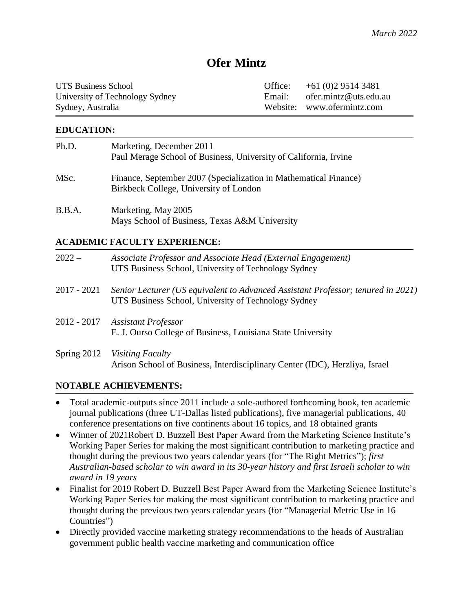# **Ofer Mintz**

| <b>UTS Business School</b>      | Office: $+61(0)295143481$    |
|---------------------------------|------------------------------|
| University of Technology Sydney | Email: ofer.mintz@uts.edu.au |
| Sydney, Australia               | Website: www.ofermintz.com   |

### **EDUCATION:**

| Ph.D.  | Marketing, December 2011<br>Paul Merage School of Business, University of California, Irvine               |
|--------|------------------------------------------------------------------------------------------------------------|
| MSc.   | Finance, September 2007 (Specialization in Mathematical Finance)<br>Birkbeck College, University of London |
| B.B.A. | Marketing, May 2005<br>Mays School of Business, Texas A&M University                                       |

### **ACADEMIC FACULTY EXPERIENCE:**

| $2022 -$      | Associate Professor and Associate Head (External Engagement)<br>UTS Business School, University of Technology Sydney                     |
|---------------|------------------------------------------------------------------------------------------------------------------------------------------|
| $2017 - 2021$ | Senior Lecturer (US equivalent to Advanced Assistant Professor; tenured in 2021)<br>UTS Business School, University of Technology Sydney |
| $2012 - 2017$ | <b>Assistant Professor</b><br>E. J. Ourso College of Business, Louisiana State University                                                |
|               | Spring 2012 Visiting Faculty<br>Arison School of Business, Interdisciplinary Center (IDC), Herzliya, Israel                              |

### **NOTABLE ACHIEVEMENTS:**

- Total academic-outputs since 2011 include a sole-authored forthcoming book, ten academic journal publications (three UT-Dallas listed publications), five managerial publications, 40 conference presentations on five continents about 16 topics, and 18 obtained grants
- Winner of 2021Robert D. Buzzell Best Paper Award from the Marketing Science Institute's Working Paper Series for making the most significant contribution to marketing practice and thought during the previous two years calendar years (for "The Right Metrics"); *first Australian-based scholar to win award in its 30-year history and first Israeli scholar to win award in 19 years*
- Finalist for 2019 Robert D. Buzzell Best Paper Award from the Marketing Science Institute's Working Paper Series for making the most significant contribution to marketing practice and thought during the previous two years calendar years (for "Managerial Metric Use in 16 Countries")
- Directly provided vaccine marketing strategy recommendations to the heads of Australian government public health vaccine marketing and communication office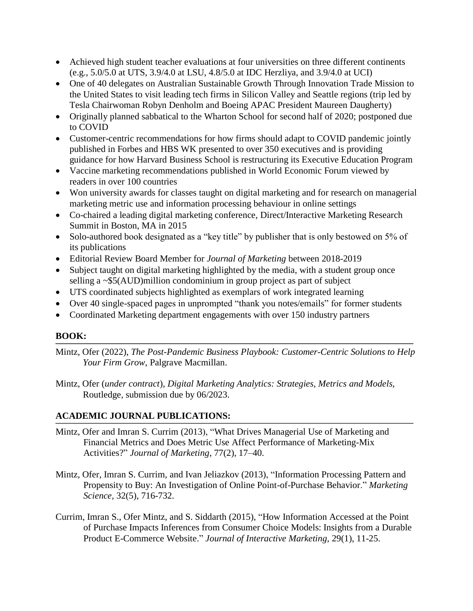- Achieved high student teacher evaluations at four universities on three different continents (e.g., 5.0/5.0 at UTS, 3.9/4.0 at LSU, 4.8/5.0 at IDC Herzliya, and 3.9/4.0 at UCI)
- One of 40 delegates on Australian Sustainable Growth Through Innovation Trade Mission to the United States to visit leading tech firms in Silicon Valley and Seattle regions (trip led by Tesla Chairwoman Robyn Denholm and Boeing APAC President Maureen Daugherty)
- Originally planned sabbatical to the Wharton School for second half of 2020; postponed due to COVID
- Customer-centric recommendations for how firms should adapt to COVID pandemic jointly published in Forbes and HBS WK presented to over 350 executives and is providing guidance for how Harvard Business School is restructuring its Executive Education Program
- Vaccine marketing recommendations published in World Economic Forum viewed by readers in over 100 countries
- Won university awards for classes taught on digital marketing and for research on managerial marketing metric use and information processing behaviour in online settings
- Co-chaired a leading digital marketing conference, Direct/Interactive Marketing Research Summit in Boston, MA in 2015
- Solo-authored book designated as a "key title" by publisher that is only bestowed on 5% of its publications
- Editorial Review Board Member for *Journal of Marketing* between 2018-2019
- Subject taught on digital marketing highlighted by the media, with a student group once selling a ~\$5(AUD)million condominium in group project as part of subject
- UTS coordinated subjects highlighted as exemplars of work integrated learning
- Over 40 single-spaced pages in unprompted "thank you notes/emails" for former students
- Coordinated Marketing department engagements with over 150 industry partners

# **BOOK:**

- Mintz, Ofer (2022), *The Post-Pandemic Business Playbook: Customer-Centric Solutions to Help Your Firm Grow,* Palgrave Macmillan.
- Mintz, Ofer (*under contract*), *Digital Marketing Analytics: Strategies, Metrics and Models,*  Routledge*,* submission due by 06/2023.

# **ACADEMIC JOURNAL PUBLICATIONS:**

- Mintz, Ofer and Imran S. Currim (2013), "What Drives Managerial Use of Marketing and Financial Metrics and Does Metric Use Affect Performance of Marketing-Mix Activities?" *Journal of Marketing*, 77(2), 17–40.
- Mintz, Ofer, Imran S. Currim, and Ivan Jeliazkov (2013), "Information Processing Pattern and Propensity to Buy: An Investigation of Online Point-of-Purchase Behavior." *Marketing Science,* 32(5), 716-732.
- Currim, Imran S., Ofer Mintz, and S. Siddarth (2015), "How Information Accessed at the Point of Purchase Impacts Inferences from Consumer Choice Models: Insights from a Durable Product E-Commerce Website." *Journal of Interactive Marketing,* 29(1), 11-25.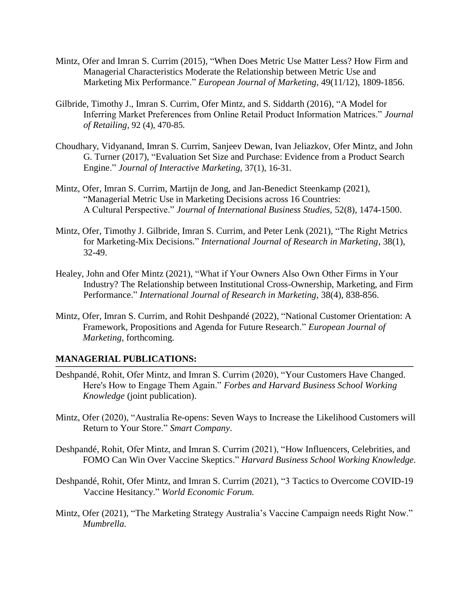- Mintz, Ofer and Imran S. Currim (2015), "When Does Metric Use Matter Less? How Firm and Managerial Characteristics Moderate the Relationship between Metric Use and Marketing Mix Performance." *European Journal of Marketing,* 49(11/12), 1809-1856.
- Gilbride, Timothy J., Imran S. Currim, Ofer Mintz, and S. Siddarth (2016), "A Model for Inferring Market Preferences from Online Retail Product Information Matrices." *Journal of Retailing,* 92 (4), 470-85*.*
- Choudhary, Vidyanand, Imran S. Currim, Sanjeev Dewan, Ivan Jeliazkov, Ofer Mintz, and John G. Turner (2017), "Evaluation Set Size and Purchase: Evidence from a Product Search Engine." *Journal of Interactive Marketing,* 37(1), 16-31*.*
- Mintz, Ofer, Imran S. Currim, Martijn de Jong, and Jan-Benedict Steenkamp (2021), "Managerial Metric Use in Marketing Decisions across 16 Countries: A Cultural Perspective." *Journal of International Business Studies,* 52(8), 1474-1500.
- Mintz, Ofer, Timothy J. Gilbride, Imran S. Currim, and Peter Lenk (2021), "The Right Metrics for Marketing-Mix Decisions." *International Journal of Research in Marketing,* 38(1), 32-49.
- Healey, John and Ofer Mintz (2021), "What if Your Owners Also Own Other Firms in Your Industry? The Relationship between Institutional Cross-Ownership, Marketing, and Firm Performance." *International Journal of Research in Marketing*, 38(4), 838-856.
- Mintz, Ofer, Imran S. Currim, and Rohit Deshpandé (2022), "National Customer Orientation: A Framework, Propositions and Agenda for Future Research." *European Journal of Marketing,* forthcoming.

### **MANAGERIAL PUBLICATIONS:**

- Deshpandé, Rohit, Ofer Mintz, and Imran S. Currim (2020), "Your Customers Have Changed. Here's How to Engage Them Again." *Forbes and Harvard Business School Working Knowledge* (joint publication).
- Mintz, Ofer (2020), "Australia Re-opens: Seven Ways to Increase the Likelihood Customers will Return to Your Store." *Smart Company*.
- Deshpandé, Rohit, Ofer Mintz, and Imran S. Currim (2021), "How Influencers, Celebrities, and FOMO Can Win Over Vaccine Skeptics." *Harvard Business School Working Knowledge.*
- Deshpandé, Rohit, Ofer Mintz, and Imran S. Currim (2021), "3 Tactics to Overcome COVID-19 Vaccine Hesitancy." *World Economic Forum.*
- Mintz, Ofer (2021), "The Marketing Strategy Australia's Vaccine Campaign needs Right Now." *Mumbrella.*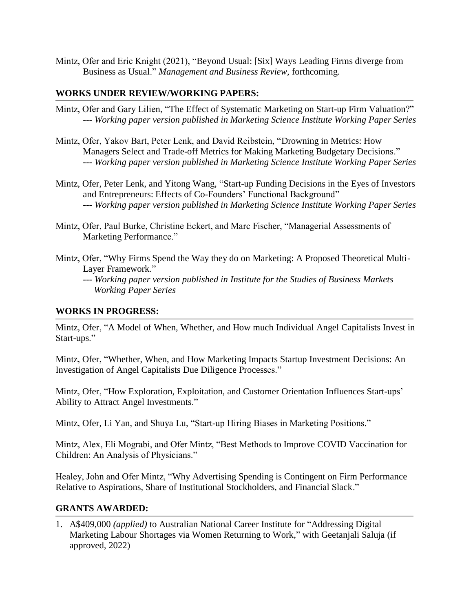Mintz, Ofer and Eric Knight (2021), "Beyond Usual: [Six] Ways Leading Firms diverge from Business as Usual." *Management and Business Review,* forthcoming.

#### **WORKS UNDER REVIEW/WORKING PAPERS:**

- Mintz, Ofer and Gary Lilien, "The Effect of Systematic Marketing on Start-up Firm Valuation?" *--- Working paper version published in Marketing Science Institute Working Paper Series*
- Mintz, Ofer, Yakov Bart, Peter Lenk, and David Reibstein, "Drowning in Metrics: How Managers Select and Trade-off Metrics for Making Marketing Budgetary Decisions." *--- Working paper version published in Marketing Science Institute Working Paper Series*
- Mintz, Ofer, Peter Lenk, and Yitong Wang, "Start-up Funding Decisions in the Eyes of Investors and Entrepreneurs: Effects of Co-Founders' Functional Background" *--- Working paper version published in Marketing Science Institute Working Paper Series*
- Mintz, Ofer, Paul Burke, Christine Eckert, and Marc Fischer, "Managerial Assessments of Marketing Performance."
- Mintz, Ofer, "Why Firms Spend the Way they do on Marketing: A Proposed Theoretical Multi-Layer Framework."
	- *--- Working paper version published in Institute for the Studies of Business Markets Working Paper Series*

### **WORKS IN PROGRESS:**

Mintz, Ofer, "A Model of When, Whether, and How much Individual Angel Capitalists Invest in Start-ups."

Mintz, Ofer, "Whether, When, and How Marketing Impacts Startup Investment Decisions: An Investigation of Angel Capitalists Due Diligence Processes."

Mintz, Ofer, "How Exploration, Exploitation, and Customer Orientation Influences Start-ups' Ability to Attract Angel Investments."

Mintz, Ofer, Li Yan, and Shuya Lu, "Start-up Hiring Biases in Marketing Positions."

Mintz, Alex, Eli Mograbi, and Ofer Mintz, "Best Methods to Improve COVID Vaccination for Children: An Analysis of Physicians."

Healey, John and Ofer Mintz, "Why Advertising Spending is Contingent on Firm Performance Relative to Aspirations, Share of Institutional Stockholders, and Financial Slack."

#### **GRANTS AWARDED:**

1. A\$409,000 *(applied)* to Australian National Career Institute for "Addressing Digital Marketing Labour Shortages via Women Returning to Work," with Geetanjali Saluja (if approved, 2022)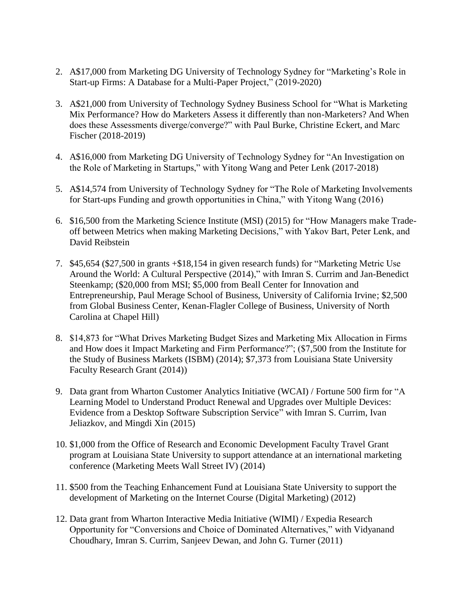- 2. A\$17,000 from Marketing DG University of Technology Sydney for "Marketing's Role in Start-up Firms: A Database for a Multi-Paper Project," (2019-2020)
- 3. A\$21,000 from University of Technology Sydney Business School for "What is Marketing Mix Performance? How do Marketers Assess it differently than non-Marketers? And When does these Assessments diverge/converge?" with Paul Burke, Christine Eckert, and Marc Fischer (2018-2019)
- 4. A\$16,000 from Marketing DG University of Technology Sydney for "An Investigation on the Role of Marketing in Startups," with Yitong Wang and Peter Lenk (2017-2018)
- 5. A\$14,574 from University of Technology Sydney for "The Role of Marketing Involvements for Start-ups Funding and growth opportunities in China," with Yitong Wang (2016)
- 6. \$16,500 from the Marketing Science Institute (MSI) (2015) for "How Managers make Tradeoff between Metrics when making Marketing Decisions," with Yakov Bart, Peter Lenk, and David Reibstein
- 7. \$45,654 (\$27,500 in grants +\$18,154 in given research funds) for "Marketing Metric Use Around the World: A Cultural Perspective (2014)," with Imran S. Currim and Jan-Benedict Steenkamp; (\$20,000 from MSI; \$5,000 from Beall Center for Innovation and Entrepreneurship, Paul Merage School of Business, University of California Irvine; \$2,500 from Global Business Center, Kenan-Flagler College of Business, University of North Carolina at Chapel Hill)
- 8. \$14,873 for "What Drives Marketing Budget Sizes and Marketing Mix Allocation in Firms and How does it Impact Marketing and Firm Performance?"; (\$7,500 from the Institute for the Study of Business Markets (ISBM) (2014); \$7,373 from Louisiana State University Faculty Research Grant (2014))
- 9. Data grant from Wharton Customer Analytics Initiative (WCAI) / Fortune 500 firm for "A Learning Model to Understand Product Renewal and Upgrades over Multiple Devices: Evidence from a Desktop Software Subscription Service" with Imran S. Currim, Ivan Jeliazkov, and Mingdi Xin (2015)
- 10. \$1,000 from the Office of Research and Economic Development Faculty Travel Grant program at Louisiana State University to support attendance at an international marketing conference (Marketing Meets Wall Street IV) (2014)
- 11. \$500 from the Teaching Enhancement Fund at Louisiana State University to support the development of Marketing on the Internet Course (Digital Marketing) (2012)
- 12. Data grant from Wharton Interactive Media Initiative (WIMI) / Expedia Research Opportunity for "Conversions and Choice of Dominated Alternatives," with Vidyanand Choudhary, Imran S. Currim, Sanjeev Dewan, and John G. Turner (2011)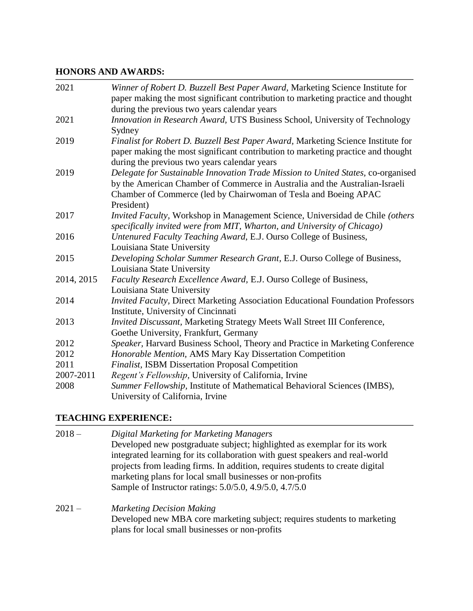# **HONORS AND AWARDS:**

| 2021       | Winner of Robert D. Buzzell Best Paper Award, Marketing Science Institute for<br>paper making the most significant contribution to marketing practice and thought                                                                                |
|------------|--------------------------------------------------------------------------------------------------------------------------------------------------------------------------------------------------------------------------------------------------|
|            | during the previous two years calendar years                                                                                                                                                                                                     |
| 2021       | Innovation in Research Award, UTS Business School, University of Technology<br>Sydney                                                                                                                                                            |
| 2019       | Finalist for Robert D. Buzzell Best Paper Award, Marketing Science Institute for<br>paper making the most significant contribution to marketing practice and thought<br>during the previous two years calendar years                             |
| 2019       | Delegate for Sustainable Innovation Trade Mission to United States, co-organised<br>by the American Chamber of Commerce in Australia and the Australian-Israeli<br>Chamber of Commerce (led by Chairwoman of Tesla and Boeing APAC<br>President) |
| 2017       | Invited Faculty, Workshop in Management Science, Universidad de Chile (others<br>specifically invited were from MIT, Wharton, and University of Chicago)                                                                                         |
| 2016       | Untenured Faculty Teaching Award, E.J. Ourso College of Business,<br>Louisiana State University                                                                                                                                                  |
| 2015       | Developing Scholar Summer Research Grant, E.J. Ourso College of Business,<br>Louisiana State University                                                                                                                                          |
| 2014, 2015 | Faculty Research Excellence Award, E.J. Ourso College of Business,<br>Louisiana State University                                                                                                                                                 |
| 2014       | Invited Faculty, Direct Marketing Association Educational Foundation Professors<br>Institute, University of Cincinnati                                                                                                                           |
| 2013       | Invited Discussant, Marketing Strategy Meets Wall Street III Conference,<br>Goethe University, Frankfurt, Germany                                                                                                                                |
| 2012       | Speaker, Harvard Business School, Theory and Practice in Marketing Conference                                                                                                                                                                    |
| 2012       | Honorable Mention, AMS Mary Kay Dissertation Competition                                                                                                                                                                                         |
| 2011       | Finalist, ISBM Dissertation Proposal Competition                                                                                                                                                                                                 |
| 2007-2011  | Regent's Fellowship, University of California, Irvine                                                                                                                                                                                            |
| 2008       | Summer Fellowship, Institute of Mathematical Behavioral Sciences (IMBS),<br>University of California, Irvine                                                                                                                                     |

# **TEACHING EXPERIENCE:**

| Developed new postgraduate subject; highlighted as exemplar for its work<br>integrated learning for its collaboration with guest speakers and real-world<br>projects from leading firms. In addition, requires students to create digital |  |
|-------------------------------------------------------------------------------------------------------------------------------------------------------------------------------------------------------------------------------------------|--|
|                                                                                                                                                                                                                                           |  |
|                                                                                                                                                                                                                                           |  |
|                                                                                                                                                                                                                                           |  |
| marketing plans for local small businesses or non-profits                                                                                                                                                                                 |  |
| Sample of Instructor ratings: 5.0/5.0, 4.9/5.0, 4.7/5.0                                                                                                                                                                                   |  |
| $2021 -$<br><b>Marketing Decision Making</b>                                                                                                                                                                                              |  |
| Developed new MBA core marketing subject; requires students to marketing                                                                                                                                                                  |  |
| plans for local small businesses or non-profits                                                                                                                                                                                           |  |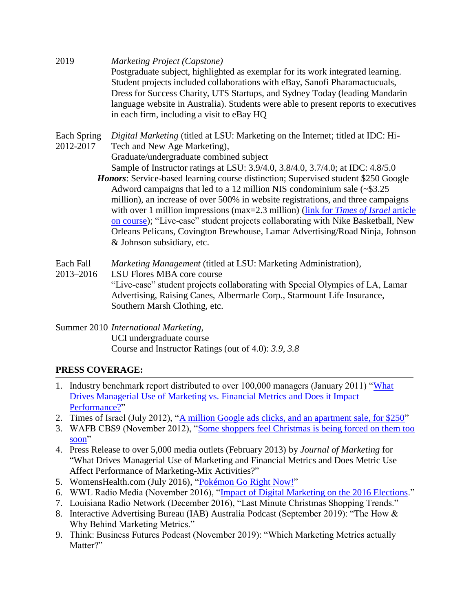2019 *Marketing Project (Capstone)* Postgraduate subject, highlighted as exemplar for its work integrated learning. Student projects included collaborations with eBay, Sanofi Pharamactucuals, Dress for Success Charity, UTS Startups, and Sydney Today (leading Mandarin language website in Australia). Students were able to present reports to executives in each firm, including a visit to eBay HQ

Each Spring *Digital Marketing* (titled at LSU: Marketing on the Internet; titled at IDC: Hi-2012-2017 Tech and New Age Marketing),

Graduate/undergraduate combined subject

Sample of Instructor ratings at LSU: 3.9/4.0, 3.8/4.0, 3.7/4.0; at IDC: 4.8/5.0

- *Honors*: Service-based learning course distinction; Supervised student \$250 Google Adword campaigns that led to a 12 million NIS condominium sale (~\$3.25 million), an increase of over 500% in website registrations, and three campaigns with over 1 million impressions (max=2.3 million) (link for *Times of Israel* article [on course\)](http://www.timesofisrael.com/a-million-google-ads-clicks-and-an-apartment-sale-for-250); "Live-case" student projects collaborating with Nike Basketball, New Orleans Pelicans, Covington Brewhouse, Lamar Advertising/Road Ninja, Johnson & Johnson subsidiary, etc.
- Each Fall *Marketing Management* (titled at LSU: Marketing Administration)*,*
- 2013–2016 LSU Flores MBA core course "Live-case" student projects collaborating with Special Olympics of LA, Lamar Advertising, Raising Canes, Albermarle Corp., Starmount Life Insurance, Southern Marsh Clothing, etc.

### Summer 2010 *International Marketing,* UCI undergraduate course Course and Instructor Ratings (out of 4.0): *3.9, 3.8*

# **PRESS COVERAGE:**

- 1. Industry benchmark report distributed to over 100,000 managers (January 2011) ["What](http://faculty.bus.lsu.edu/omintz/metricsbenchmarkreportfinal.pdf)  [Drives Managerial Use of Marketing vs. Financial Metrics and Does it Impact](http://faculty.bus.lsu.edu/omintz/metricsbenchmarkreportfinal.pdf)  [Performance?"](http://faculty.bus.lsu.edu/omintz/metricsbenchmarkreportfinal.pdf)
- 2. Times of Israel (July 2012), ["A million Google ads clicks, and an apartment sale, for \\$250"](http://www.timesofisrael.com/a-million-google-ads-clicks-and-an-apartment-sale-for-250/)
- 3. WAFB CBS9 (November 2012), ["Some shoppers feel Christmas is being forced on them too](http://www.wafb.com/story/20100529/shoppers-feel-christmas-is-being-forced-on-them-too-soon)  [soon"](http://www.wafb.com/story/20100529/shoppers-feel-christmas-is-being-forced-on-them-too-soon)
- 4. Press Release to over 5,000 media outlets (February 2013) by *Journal of Marketing* for "What Drives Managerial Use of Marketing and Financial Metrics and Does Metric Use Affect Performance of Marketing-Mix Activities?"
- 5. WomensHealth.com (July 2016), ["Pokémon Go Right Now!"](http://womenshealth.com/pokemon-go-right-now/)
- 6. WWL Radio Media (November 2016), ["Impact of Digital Marketing on the 2016 Elections.](http://media.wwl.com/a/117394948/think-tank-1210pm-who-reached-voters-more-effectively.htm)"
- 7. Louisiana Radio Network (December 2016), "Last Minute Christmas Shopping Trends."
- 8. Interactive Advertising Bureau (IAB) Australia Podcast (September 2019): "The How & Why Behind Marketing Metrics."
- 9. Think: Business Futures Podcast (November 2019): "Which Marketing Metrics actually Matter?"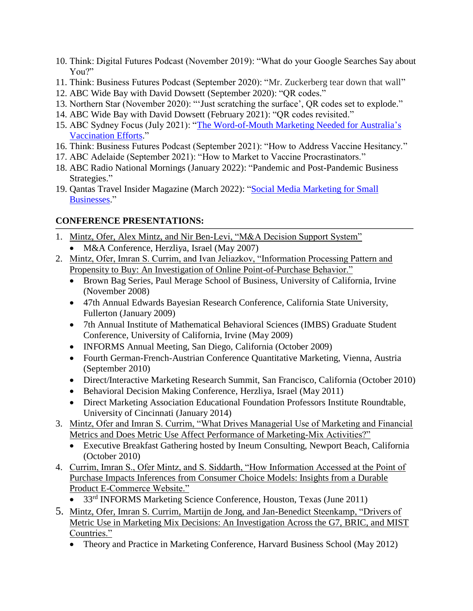- 10. Think: Digital Futures Podcast (November 2019): "What do your Google Searches Say about Y<sub>ou?"</sub>
- 11. Think: Business Futures Podcast (September 2020): "Mr. Zuckerberg tear down that wall"
- 12. ABC Wide Bay with David Dowsett (September 2020): "QR codes."
- 13. Northern Star (November 2020): "'Just scratching the surface', QR codes set to explode."
- 14. ABC Wide Bay with David Dowsett (February 2021): "QR codes revisited."
- 15. ABC Sydney Focus (July 2021): ["The Word-of-Mouth Marketing Needed for Australia's](https://www.abc.net.au/radio/sydney/programs/focus/focus/13466770) [Vaccination](https://www.abc.net.au/radio/sydney/programs/focus/focus/13466770) Efforts."
- 16. Think: Business Futures Podcast (September 2021): "How to Address Vaccine Hesitancy."
- 17. ABC Adelaide (September 2021): "How to Market to Vaccine Procrastinators."
- 18. ABC Radio National Mornings (January 2022): "Pandemic and Post-Pandemic Business Strategies."
- 19. Qantas Travel Insider Magazine (March 2022): ["Social Media Marketing for](https://www.qantas.com/travelinsider/en/qantas-magazine.html?c=march-2022-edition&page=152-153) Small [Businesses.](https://www.qantas.com/travelinsider/en/qantas-magazine.html?c=march-2022-edition&page=152-153)"

# **CONFERENCE PRESENTATIONS:**

- 1. Mintz, Ofer, Alex Mintz, and Nir Ben-Levi, "M&A Decision Support System"
	- M&A Conference, Herzliya, Israel (May 2007)
- 2. Mintz, Ofer, Imran S. Currim, and Ivan Jeliazkov, "Information Processing Pattern and Propensity to Buy: An Investigation of Online Point-of-Purchase Behavior."
	- Brown Bag Series, Paul Merage School of Business, University of California, Irvine (November 2008)
	- 47th Annual Edwards Bayesian Research Conference, California State University, Fullerton (January 2009)
	- 7th Annual Institute of Mathematical Behavioral Sciences (IMBS) Graduate Student Conference, University of California, Irvine (May 2009)
	- INFORMS Annual Meeting, San Diego, California (October 2009)
	- Fourth German-French-Austrian Conference Quantitative Marketing, Vienna, Austria (September 2010)
	- Direct/Interactive Marketing Research Summit, San Francisco, California (October 2010)
	- Behavioral Decision Making Conference, Herzliya, Israel (May 2011)
	- Direct Marketing Association Educational Foundation Professors Institute Roundtable, University of Cincinnati (January 2014)
- 3. Mintz, Ofer and Imran S. Currim, "What Drives Managerial Use of Marketing and Financial Metrics and Does Metric Use Affect Performance of Marketing-Mix Activities?"
	- Executive Breakfast Gathering hosted by Ineum Consulting, Newport Beach, California (October 2010)
- 4. Currim, Imran S., Ofer Mintz, and S. Siddarth, "How Information Accessed at the Point of Purchase Impacts Inferences from Consumer Choice Models: Insights from a Durable Product E-Commerce Website."
	- 33<sup>rd</sup> INFORMS Marketing Science Conference, Houston, Texas (June 2011)
- 5. Mintz, Ofer, Imran S. Currim, Martijn de Jong, and Jan-Benedict Steenkamp, "Drivers of Metric Use in Marketing Mix Decisions: An Investigation Across the G7, BRIC, and MIST Countries."
	- Theory and Practice in Marketing Conference, Harvard Business School (May 2012)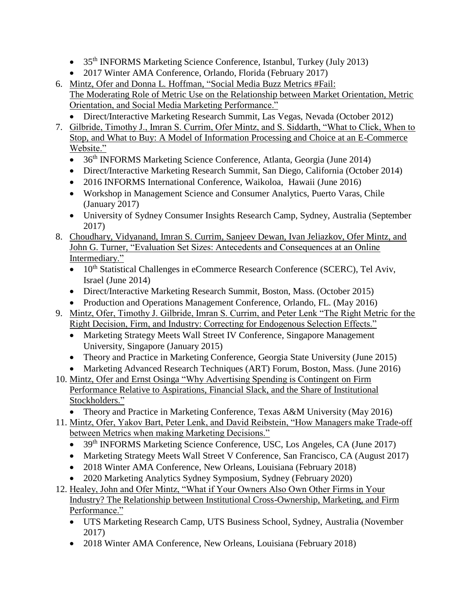- 35<sup>th</sup> INFORMS Marketing Science Conference, Istanbul, Turkey (July 2013)
- 2017 Winter AMA Conference, Orlando, Florida (February 2017)
- 6. Mintz, Ofer and Donna L. Hoffman, "Social Media Buzz Metrics #Fail: The Moderating Role of Metric Use on the Relationship between Market Orientation, Metric Orientation, and Social Media Marketing Performance."
	- Direct/Interactive Marketing Research Summit, Las Vegas, Nevada (October 2012)
- 7. Gilbride, Timothy J., Imran S. Currim, Ofer Mintz, and S. Siddarth, "What to Click, When to Stop, and What to Buy: A Model of Information Processing and Choice at an E-Commerce Website."
	- 36<sup>th</sup> INFORMS Marketing Science Conference, Atlanta, Georgia (June 2014)
	- Direct/Interactive Marketing Research Summit, San Diego, California (October 2014)
	- 2016 INFORMS International Conference, Waikoloa, Hawaii (June 2016)
	- Workshop in Management Science and Consumer Analytics, Puerto Varas, Chile (January 2017)
	- University of Sydney Consumer Insights Research Camp, Sydney, Australia (September 2017)
- 8. Choudhary, Vidyanand, Imran S. Currim, Sanjeev Dewan, Ivan Jeliazkov, Ofer Mintz, and John G. Turner, "Evaluation Set Sizes: Antecedents and Consequences at an Online Intermediary."
	- $\bullet$  10<sup>th</sup> Statistical Challenges in eCommerce Research Conference (SCERC), Tel Aviv, Israel (June 2014)
	- Direct/Interactive Marketing Research Summit, Boston, Mass. (October 2015)
	- Production and Operations Management Conference, Orlando, FL. (May 2016)
- 9. Mintz, Ofer, Timothy J. Gilbride, Imran S. Currim, and Peter Lenk "The Right Metric for the Right Decision, Firm, and Industry: Correcting for Endogenous Selection Effects."
	- Marketing Strategy Meets Wall Street IV Conference, Singapore Management University, Singapore (January 2015)
	- Theory and Practice in Marketing Conference, Georgia State University (June 2015)
	- Marketing Advanced Research Techniques (ART) Forum, Boston, Mass. (June 2016)
- 10. Mintz, Ofer and Ernst Osinga "Why Advertising Spending is Contingent on Firm Performance Relative to Aspirations, Financial Slack, and the Share of Institutional Stockholders."
	- Theory and Practice in Marketing Conference, Texas A&M University (May 2016)
- 11. Mintz, Ofer, Yakov Bart, Peter Lenk, and David Reibstein, "How Managers make Trade-off between Metrics when making Marketing Decisions."
	- 39<sup>th</sup> INFORMS Marketing Science Conference, USC, Los Angeles, CA (June 2017)
	- Marketing Strategy Meets Wall Street V Conference, San Francisco, CA (August 2017)
	- 2018 Winter AMA Conference, New Orleans, Louisiana (February 2018)
	- 2020 Marketing Analytics Sydney Symposium, Sydney (February 2020)
- 12. Healey, John and Ofer Mintz, "What if Your Owners Also Own Other Firms in Your Industry? The Relationship between Institutional Cross-Ownership, Marketing, and Firm Performance."
	- UTS Marketing Research Camp, UTS Business School, Sydney, Australia (November 2017)
	- 2018 Winter AMA Conference, New Orleans, Louisiana (February 2018)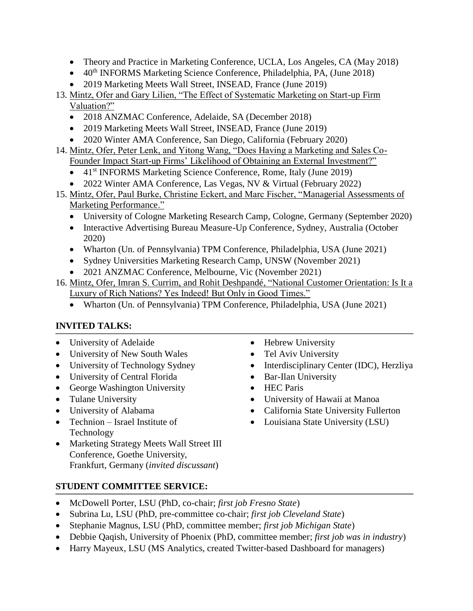- Theory and Practice in Marketing Conference, UCLA, Los Angeles, CA (May 2018)
- $40<sup>th</sup> INFORMS Marketing Science Conference, Philadelphia, PA, (June 2018)$
- 2019 Marketing Meets Wall Street, INSEAD, France (June 2019)

# 13. Mintz, Ofer and Gary Lilien, "The Effect of Systematic Marketing on Start-up Firm Valuation?"

- 2018 ANZMAC Conference, Adelaide, SA (December 2018)
- 2019 Marketing Meets Wall Street, INSEAD, France (June 2019)
- 2020 Winter AMA Conference, San Diego, California (February 2020)
- 14. Mintz, Ofer, Peter Lenk, and Yitong Wang, "Does Having a Marketing and Sales Co-Founder Impact Start-up Firms' Likelihood of Obtaining an External Investment?"
	- 41<sup>st</sup> INFORMS Marketing Science Conference, Rome, Italy (June 2019)
	- 2022 Winter AMA Conference, Las Vegas, NV & Virtual (February 2022)
- 15. Mintz, Ofer, Paul Burke, Christine Eckert, and Marc Fischer, "Managerial Assessments of Marketing Performance."
	- University of Cologne Marketing Research Camp, Cologne, Germany (September 2020)
	- Interactive Advertising Bureau Measure-Up Conference, Sydney, Australia (October 2020)
	- Wharton (Un. of Pennsylvania) TPM Conference, Philadelphia, USA (June 2021)
	- Sydney Universities Marketing Research Camp, UNSW (November 2021)
	- 2021 ANZMAC Conference, Melbourne, Vic (November 2021)
- 16. Mintz, Ofer, Imran S. Currim, and Rohit Deshpandé, "National Customer Orientation: Is It a Luxury of Rich Nations? Yes Indeed! But Only in Good Times."
	- Wharton (Un. of Pennsylvania) TPM Conference, Philadelphia, USA (June 2021)

# **INVITED TALKS:**

- University of Adelaide
- University of New South Wales
- University of Technology Sydney
- University of Central Florida
- George Washington University
- Tulane University
- University of Alabama
- Technion Israel Institute of Technology
- Marketing Strategy Meets Wall Street III Conference, Goethe University, Frankfurt, Germany (*invited discussant*)
- Hebrew University
- Tel Aviv University
- Interdisciplinary Center (IDC), Herzliya
- Bar-Ilan University
- HEC Paris
- University of Hawaii at Manoa
- California State University Fullerton
- Louisiana State University (LSU)

- **STUDENT COMMITTEE SERVICE:**
- McDowell Porter, LSU (PhD, co-chair; *first job Fresno State*)
- Subrina Lu, LSU (PhD, pre-committee co-chair; *first job Cleveland State*)
- Stephanie Magnus, LSU (PhD, committee member; *first job Michigan State*)
- Debbie Qaqish, University of Phoenix (PhD, committee member; *first job was in industry*)
- Harry Mayeux, LSU (MS Analytics, created Twitter-based Dashboard for managers)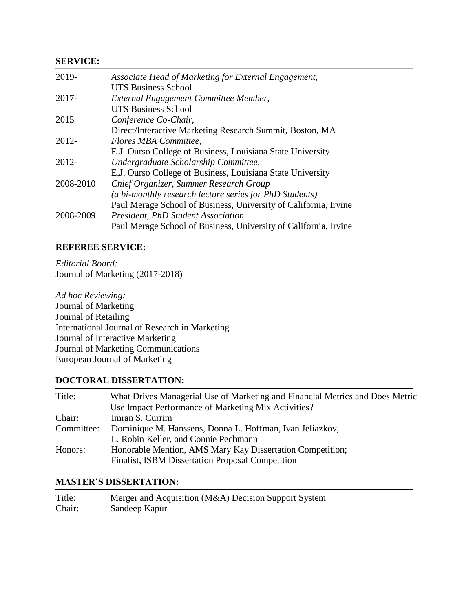#### **SERVICE:**

| 2019-     | Associate Head of Marketing for External Engagement,             |
|-----------|------------------------------------------------------------------|
|           | <b>UTS Business School</b>                                       |
| $2017 -$  | External Engagement Committee Member,                            |
|           | <b>UTS Business School</b>                                       |
| 2015      | Conference Co-Chair,                                             |
|           | Direct/Interactive Marketing Research Summit, Boston, MA         |
| 2012-     | Flores MBA Committee,                                            |
|           | E.J. Ourso College of Business, Louisiana State University       |
| 2012-     | Undergraduate Scholarship Committee,                             |
|           | E.J. Ourso College of Business, Louisiana State University       |
| 2008-2010 | Chief Organizer, Summer Research Group                           |
|           | (a bi-monthly research lecture series for PhD Students)          |
|           | Paul Merage School of Business, University of California, Irvine |
| 2008-2009 | <b>President, PhD Student Association</b>                        |
|           | Paul Merage School of Business, University of California, Irvine |

#### **REFEREE SERVICE:**

*Editorial Board:* Journal of Marketing (2017-2018)

*Ad hoc Reviewing:* Journal of Marketing Journal of Retailing International Journal of Research in Marketing Journal of Interactive Marketing Journal of Marketing Communications European Journal of Marketing

### **DOCTORAL DISSERTATION:**

| Title:     | What Drives Managerial Use of Marketing and Financial Metrics and Does Metric |
|------------|-------------------------------------------------------------------------------|
|            | Use Impact Performance of Marketing Mix Activities?                           |
| Chair:     | Imran S. Currim                                                               |
| Committee: | Dominique M. Hanssens, Donna L. Hoffman, Ivan Jeliazkov,                      |
|            | L. Robin Keller, and Connie Pechmann                                          |
| Honors:    | Honorable Mention, AMS Mary Kay Dissertation Competition;                     |
|            | Finalist, ISBM Dissertation Proposal Competition                              |

#### **MASTER'S DISSERTATION:**

| Title: | Merger and Acquisition (M&A) Decision Support System |
|--------|------------------------------------------------------|
| Chair: | Sandeep Kapur                                        |